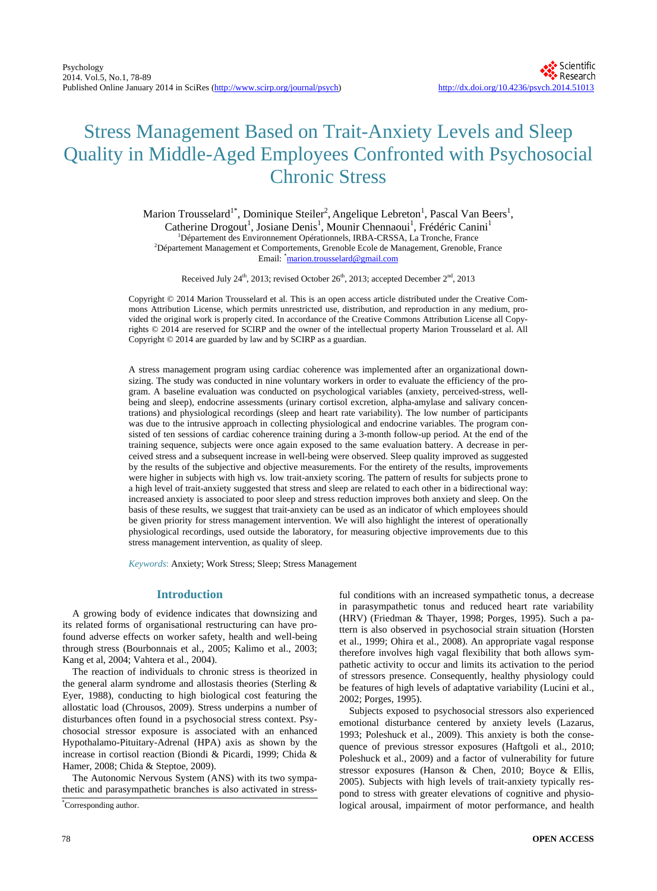# Stress Management Based on Trait-Anxiety Levels and Sleep Quality in Middle-Aged Employees Confronted with Psychosocial Chronic Stress

Marion Trousselard<sup>1\*</sup>, Dominique Steiler<sup>2</sup>, Angelique Lebreton<sup>1</sup>, Pascal Van Beers<sup>1</sup>, Catherine Drogout<sup>1</sup>, Josiane Denis<sup>1</sup>, Mounir Chennaoui<sup>1</sup>, Frédéric Canini<sup>1</sup> <sup>1</sup>Département des Environnement Opérationnels, IRBA-CRSSA, La Tronche, France 2 Département Management et Comportements, Grenoble Ecole de Management, Grenoble, France Email: \*<u>[marion.trousselard@gmail.com](mailto:marion.trousselard@gmail.com)</u>

Received July 24<sup>th</sup>, 2013; revised October 26<sup>th</sup>, 2013; accepted December 2<sup>nd</sup>, 2013

Copyright © 2014 Marion Trousselard et al. This is an open access article distributed under the Creative Commons Attribution License, which permits unrestricted use, distribution, and reproduction in any medium, provided the original work is properly cited. In accordance of the Creative Commons Attribution License all Copyrights © 2014 are reserved for SCIRP and the owner of the intellectual property Marion Trousselard et al. All Copyright © 2014 are guarded by law and by SCIRP as a guardian.

A stress management program using cardiac coherence was implemented after an organizational downsizing. The study was conducted in nine voluntary workers in order to evaluate the efficiency of the program. A baseline evaluation was conducted on psychological variables (anxiety, perceived-stress, wellbeing and sleep), endocrine assessments (urinary cortisol excretion, alpha-amylase and salivary concentrations) and physiological recordings (sleep and heart rate variability). The low number of participants was due to the intrusive approach in collecting physiological and endocrine variables. The program consisted of ten sessions of cardiac coherence training during a 3-month follow-up period. At the end of the training sequence, subjects were once again exposed to the same evaluation battery. A decrease in perceived stress and a subsequent increase in well-being were observed. Sleep quality improved as suggested by the results of the subjective and objective measurements. For the entirety of the results, improvements were higher in subjects with high vs. low trait-anxiety scoring. The pattern of results for subjects prone to a high level of trait-anxiety suggested that stress and sleep are related to each other in a bidirectional way: increased anxiety is associated to poor sleep and stress reduction improves both anxiety and sleep. On the basis of these results, we suggest that trait-anxiety can be used as an indicator of which employees should be given priority for stress management intervention. We will also highlight the interest of operationally physiological recordings, used outside the laboratory, for measuring objective improvements due to this stress management intervention, as quality of sleep.

*Keywords*: Anxiety; Work Stress; Sleep; Stress Management

# **Introduction**

A growing body of evidence indicates that downsizing and its related forms of organisational restructuring can have profound adverse effects on worker safety, health and well-being through stress (Bourbonnais et al., 2005; Kalimo et al., 2003; Kang et al, 2004; Vahtera et al., 2004).

The reaction of individuals to chronic stress is theorized in the general alarm syndrome and allostasis theories (Sterling & Eyer, 1988), conducting to high biological cost featuring the allostatic load (Chrousos, 2009). Stress underpins a number of disturbances often found in a psychosocial stress context. Psychosocial stressor exposure is associated with an enhanced Hypothalamo-Pituitary-Adrenal (HPA) axis as shown by the increase in cortisol reaction (Biondi & Picardi, 1999; Chida & Hamer, 2008; Chida & Steptoe, 2009).

The Autonomic Nervous System (ANS) with its two sympathetic and parasympathetic branches is also activated in stressful conditions with an increased sympathetic tonus, a decrease in parasympathetic tonus and reduced heart rate variability (HRV) (Friedman & Thayer, 1998; Porges, 1995). Such a pattern is also observed in psychosocial strain situation (Horsten et al., 1999; Ohira et al., 2008). An appropriate vagal response therefore involves high vagal flexibility that both allows sympathetic activity to occur and limits its activation to the period of stressors presence. Consequently, healthy physiology could be features of high levels of adaptative variability (Lucini et al., 2002; Porges, 1995).

Subjects exposed to psychosocial stressors also experienced emotional disturbance centered by anxiety levels (Lazarus, 1993; Poleshuck et al., 2009). This anxiety is both the consequence of previous stressor exposures (Haftgoli et al., 2010; Poleshuck et al., 2009) and a factor of vulnerability for future stressor exposures (Hanson & Chen, 2010; Boyce & Ellis, 2005). Subjects with high levels of trait-anxiety typically respond to stress with greater elevations of cognitive and physiological arousal, impairment of motor performance, and health

Corresponding author.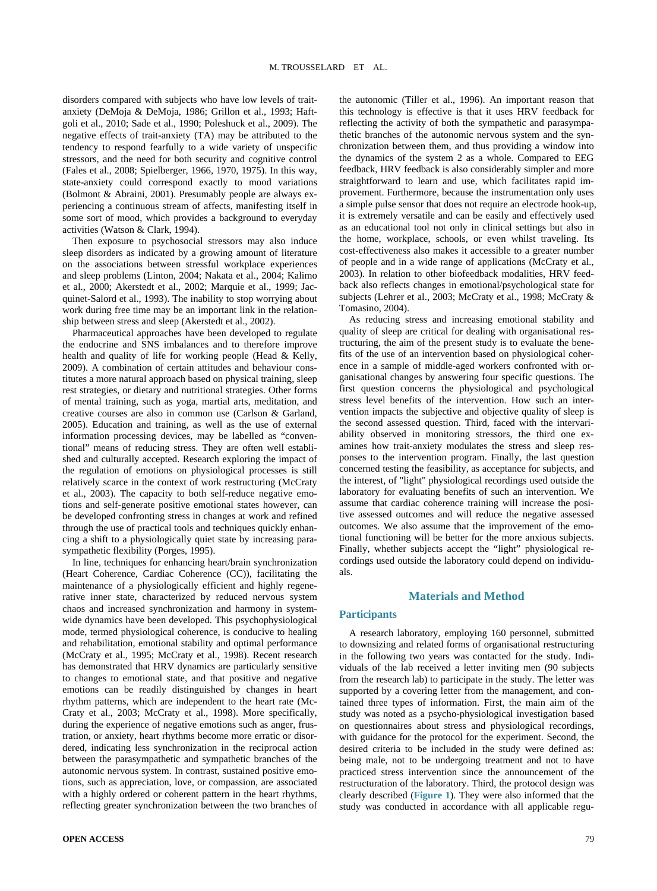disorders compared with subjects who have low levels of traitanxiety (DeMoja & DeMoja, 1986; Grillon et al., 1993; Haftgoli et al., 2010; Sade et al., 1990; Poleshuck et al., 2009). The negative effects of trait-anxiety (TA) may be attributed to the tendency to respond fearfully to a wide variety of unspecific stressors, and the need for both security and cognitive control (Fales et al., 2008; Spielberger, 1966, 1970, 1975). In this way, state-anxiety could correspond exactly to mood variations (Bolmont & Abraini, 2001). Presumably people are always experiencing a continuous stream of affects, manifesting itself in some sort of mood, which provides a background to everyday activities (Watson & Clark, 1994).

Then exposure to psychosocial stressors may also induce sleep disorders as indicated by a growing amount of literature on the associations between stressful workplace experiences and sleep problems (Linton, 2004; Nakata et al., 2004; Kalimo et al., 2000; Akerstedt et al., 2002; Marquie et al., 1999; Jacquinet-Salord et al., 1993). The inability to stop worrying about work during free time may be an important link in the relationship between stress and sleep (Akerstedt et al., 2002).

Pharmaceutical approaches have been developed to regulate the endocrine and SNS imbalances and to therefore improve health and quality of life for working people (Head & Kelly, 2009). A combination of certain attitudes and behaviour constitutes a more natural approach based on physical training, sleep rest strategies, or dietary and nutritional strategies. Other forms of mental training, such as yoga, martial arts, meditation, and creative courses are also in common use (Carlson & Garland, 2005). Education and training, as well as the use of external information processing devices, may be labelled as "conventional" means of reducing stress. They are often well established and culturally accepted. Research exploring the impact of the regulation of emotions on physiological processes is still relatively scarce in the context of work restructuring (McCraty et al., 2003). The capacity to both self-reduce negative emotions and self-generate positive emotional states however, can be developed confronting stress in changes at work and refined through the use of practical tools and techniques quickly enhancing a shift to a physiologically quiet state by increasing parasympathetic flexibility (Porges, 1995).

In line, techniques for enhancing heart/brain synchronization (Heart Coherence, Cardiac Coherence (CC)), facilitating the maintenance of a physiologically efficient and highly regenerative inner state, characterized by reduced nervous system chaos and increased synchronization and harmony in systemwide dynamics have been developed. This psychophysiological mode, termed physiological coherence, is conducive to healing and rehabilitation, emotional stability and optimal performance (McCraty et al., 1995; McCraty et al., 1998). Recent research has demonstrated that HRV dynamics are particularly sensitive to changes to emotional state, and that positive and negative emotions can be readily distinguished by changes in heart rhythm patterns, which are independent to the heart rate (Mc-Craty et al., 2003; McCraty et al., 1998). More specifically, during the experience of negative emotions such as anger, frustration, or anxiety, heart rhythms become more erratic or disordered, indicating less synchronization in the reciprocal action between the parasympathetic and sympathetic branches of the autonomic nervous system. In contrast, sustained positive emotions, such as appreciation, love, or compassion, are associated with a highly ordered or coherent pattern in the heart rhythms, reflecting greater synchronization between the two branches of the autonomic (Tiller et al., 1996). An important reason that this technology is effective is that it uses HRV feedback for reflecting the activity of both the sympathetic and parasympathetic branches of the autonomic nervous system and the synchronization between them, and thus providing a window into the dynamics of the system 2 as a whole. Compared to EEG feedback, HRV feedback is also considerably simpler and more straightforward to learn and use, which facilitates rapid improvement. Furthermore, because the instrumentation only uses a simple pulse sensor that does not require an electrode hook-up, it is extremely versatile and can be easily and effectively used as an educational tool not only in clinical settings but also in the home, workplace, schools, or even whilst traveling. Its cost-effectiveness also makes it accessible to a greater number of people and in a wide range of applications (McCraty et al., 2003). In relation to other biofeedback modalities, HRV feedback also reflects changes in emotional/psychological state for subjects (Lehrer et al., 2003; McCraty et al., 1998; McCraty & Tomasino, 2004).

As reducing stress and increasing emotional stability and quality of sleep are critical for dealing with organisational restructuring, the aim of the present study is to evaluate the benefits of the use of an intervention based on physiological coherence in a sample of middle-aged workers confronted with organisational changes by answering four specific questions. The first question concerns the physiological and psychological stress level benefits of the intervention. How such an intervention impacts the subjective and objective quality of sleep is the second assessed question. Third, faced with the intervariability observed in monitoring stressors, the third one examines how trait-anxiety modulates the stress and sleep responses to the intervention program. Finally, the last question concerned testing the feasibility, as acceptance for subjects, and the interest, of "light" physiological recordings used outside the laboratory for evaluating benefits of such an intervention. We assume that cardiac coherence training will increase the positive assessed outcomes and will reduce the negative assessed outcomes. We also assume that the improvement of the emotional functioning will be better for the more anxious subjects. Finally, whether subjects accept the "light" physiological recordings used outside the laboratory could depend on individuals.

## **Materials and Method**

## **Participants**

A research laboratory, employing 160 personnel, submitted to downsizing and related forms of organisational restructuring in the following two years was contacted for the study. Individuals of the lab received a letter inviting men (90 subjects from the research lab) to participate in the study. The letter was supported by a covering letter from the management, and contained three types of information. First, the main aim of the study was noted as a psycho-physiological investigation based on questionnaires about stress and physiological recordings, with guidance for the protocol for the experiment. Second, the desired criteria to be included in the study were defined as: being male, not to be undergoing treatment and not to have practiced stress intervention since the announcement of the restructuration of the laboratory. Third, the protocol design was clearly described (**[Figure 1](#page-2-0)**). They were also informed that the study was conducted in accordance with all applicable regu-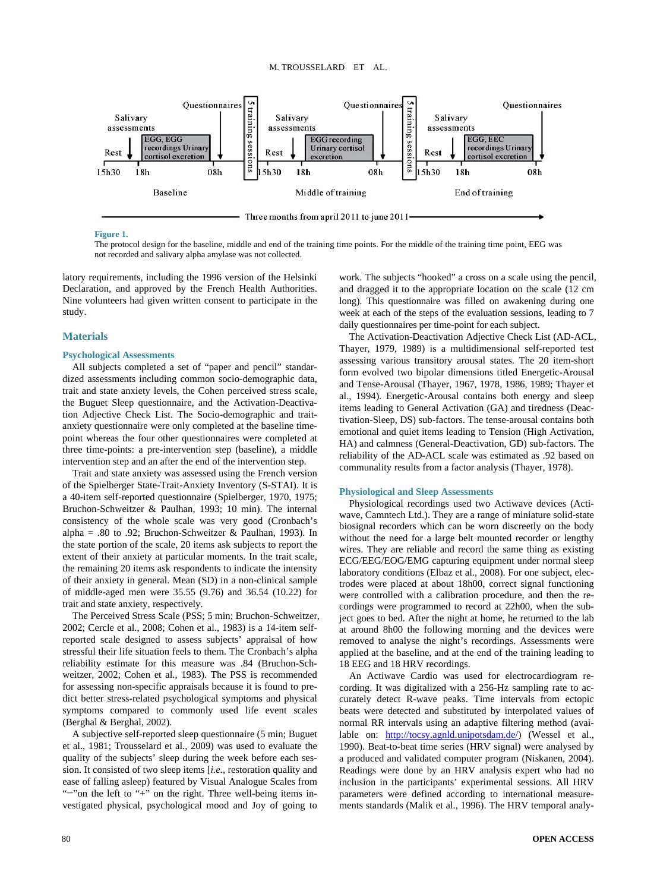<span id="page-2-0"></span>

#### **Figure 1.**

The protocol design for the baseline, middle and end of the training time points. For the middle of the training time point, EEG was not recorded and salivary alpha amylase was not collected.

latory requirements, including the 1996 version of the Helsinki Declaration, and approved by the French Health Authorities. Nine volunteers had given written consent to participate in the study.

## **Materials**

## **Psychological Assessments**

All subjects completed a set of "paper and pencil" standardized assessments including common socio-demographic data, trait and state anxiety levels, the Cohen perceived stress scale, the Buguet Sleep questionnaire, and the Activation-Deactivation Adjective Check List. The Socio-demographic and traitanxiety questionnaire were only completed at the baseline timepoint whereas the four other questionnaires were completed at three time-points: a pre-intervention step (baseline), a middle intervention step and an after the end of the intervention step.

Trait and state anxiety was assessed using the French version of the Spielberger State-Trait-Anxiety Inventory (S-STAI). It is a 40-item self-reported questionnaire (Spielberger, 1970, 1975; Bruchon-Schweitzer & Paulhan, 1993; 10 min). The internal consistency of the whole scale was very good (Cronbach's alpha = .80 to .92; Bruchon-Schweitzer & Paulhan, 1993). In the state portion of the scale, 20 items ask subjects to report the extent of their anxiety at particular moments. In the trait scale, the remaining 20 items ask respondents to indicate the intensity of their anxiety in general. Mean (SD) in a non-clinical sample of middle-aged men were 35.55 (9.76) and 36.54 (10.22) for trait and state anxiety, respectively.

The Perceived Stress Scale (PSS; 5 min; Bruchon-Schweitzer, 2002; Cercle et al., 2008; Cohen et al., 1983) is a 14-item selfreported scale designed to assess subjects' appraisal of how stressful their life situation feels to them. The Cronbach's alpha reliability estimate for this measure was .84 (Bruchon-Schweitzer, 2002; Cohen et al., 1983). The PSS is recommended for assessing non-specific appraisals because it is found to predict better stress-related psychological symptoms and physical symptoms compared to commonly used life event scales (Berghal & Berghal, 2002).

A subjective self-reported sleep questionnaire (5 min; Buguet et al., 1981; Trousselard et al., 2009) was used to evaluate the quality of the subjects' sleep during the week before each session. It consisted of two sleep items [*i.e.*, restoration quality and ease of falling asleep) featured by Visual Analogue Scales from "−"on the left to "+" on the right. Three well-being items investigated physical, psychological mood and Joy of going to

work. The subjects "hooked" a cross on a scale using the pencil, and dragged it to the appropriate location on the scale (12 cm long). This questionnaire was filled on awakening during one week at each of the steps of the evaluation sessions, leading to 7 daily questionnaires per time-point for each subject.

The Activation-Deactivation Adjective Check List (AD-ACL, Thayer, 1979, 1989) is a multidimensional self-reported test assessing various transitory arousal states. The 20 item-short form evolved two bipolar dimensions titled Energetic-Arousal and Tense-Arousal (Thayer, 1967, 1978, 1986, 1989; Thayer et al., 1994). Energetic-Arousal contains both energy and sleep items leading to General Activation (GA) and tiredness (Deactivation-Sleep, DS) sub-factors. The tense-arousal contains both emotional and quiet items leading to Tension (High Activation, HA) and calmness (General-Deactivation, GD) sub-factors. The reliability of the AD-ACL scale was estimated as .92 based on communality results from a factor analysis (Thayer, 1978).

#### **Physiological and Sleep Assessments**

Physiological recordings used two Actiwave devices (Actiwave, Camntech Ltd.). They are a range of miniature solid-state biosignal recorders which can be worn discreetly on the body without the need for a large belt mounted recorder or lengthy wires. They are reliable and record the same thing as existing ECG/EEG/EOG/EMG capturing equipment under normal sleep laboratory conditions (Elbaz et al., 2008). For one subject, electrodes were placed at about 18h00, correct signal functioning were controlled with a calibration procedure, and then the recordings were programmed to record at 22h00, when the subject goes to bed. After the night at home, he returned to the lab at around 8h00 the following morning and the devices were removed to analyse the night's recordings. Assessments were applied at the baseline, and at the end of the training leading to 18 EEG and 18 HRV recordings.

An Actiwave Cardio was used for electrocardiogram recording. It was digitalized with a 256-Hz sampling rate to accurately detect R-wave peaks. Time intervals from ectopic beats were detected and substituted by interpolated values of normal RR intervals using an adaptive filtering method (available on: [http://tocsy.agnld.unipotsdam.de/\)](http://tocsy.agnld.unipotsdam.de/) (Wessel et al., 1990). Beat-to-beat time series (HRV signal) were analysed by a produced and validated computer program (Niskanen, 2004). Readings were done by an HRV analysis expert who had no inclusion in the participants' experimental sessions. All HRV parameters were defined according to international measurements standards (Malik et al., 1996). The HRV temporal analy-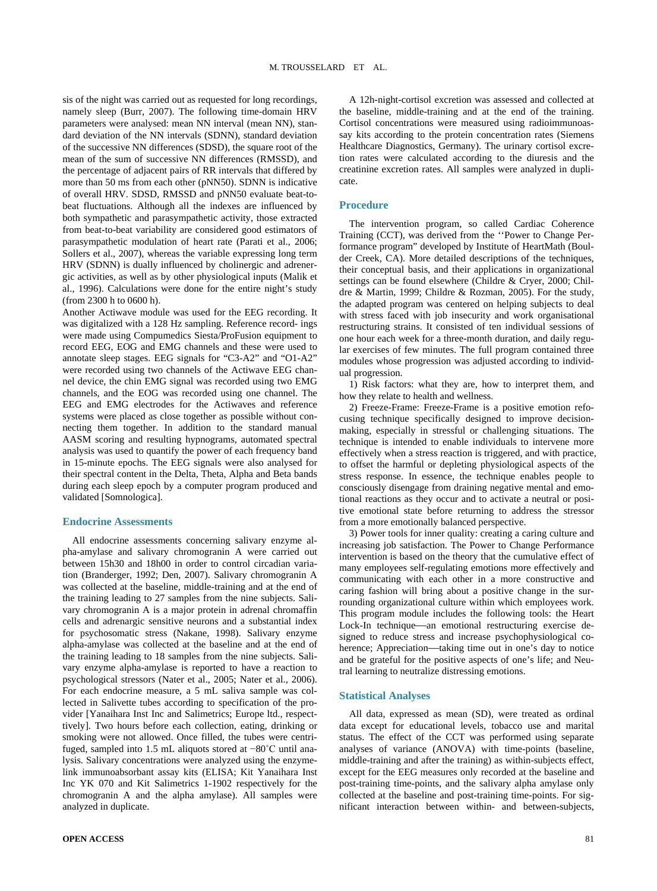sis of the night was carried out as requested for long recordings, namely sleep (Burr, 2007). The following time-domain HRV parameters were analysed: mean NN interval (mean NN), standard deviation of the NN intervals (SDNN), standard deviation of the successive NN differences (SDSD), the square root of the mean of the sum of successive NN differences (RMSSD), and the percentage of adjacent pairs of RR intervals that differed by more than 50 ms from each other (pNN50). SDNN is indicative of overall HRV. SDSD, RMSSD and pNN50 evaluate beat-tobeat fluctuations. Although all the indexes are influenced by both sympathetic and parasympathetic activity, those extracted from beat-to-beat variability are considered good estimators of parasympathetic modulation of heart rate (Parati et al., 2006; Sollers et al., 2007), whereas the variable expressing long term HRV (SDNN) is dually influenced by cholinergic and adrenergic activities, as well as by other physiological inputs (Malik et al., 1996). Calculations were done for the entire night's study (from 2300 h to 0600 h).

Another Actiwave module was used for the EEG recording. It was digitalized with a 128 Hz sampling. Reference record- ings were made using Compumedics Siesta/ProFusion equipment to record EEG, EOG and EMG channels and these were used to annotate sleep stages. EEG signals for "C3-A2" and "O1-A2" were recorded using two channels of the Actiwave EEG channel device, the chin EMG signal was recorded using two EMG channels, and the EOG was recorded using one channel. The EEG and EMG electrodes for the Actiwaves and reference systems were placed as close together as possible without connecting them together. In addition to the standard manual AASM scoring and resulting hypnograms, automated spectral analysis was used to quantify the power of each frequency band in 15-minute epochs. The EEG signals were also analysed for their spectral content in the Delta, Theta, Alpha and Beta bands during each sleep epoch by a computer program produced and validated [Somnologica].

#### **Endocrine Assessments**

All endocrine assessments concerning salivary enzyme alpha-amylase and salivary chromogranin A were carried out between 15h30 and 18h00 in order to control circadian variation (Branderger, 1992; Den, 2007). Salivary chromogranin A was collected at the baseline, middle-training and at the end of the training leading to 27 samples from the nine subjects. Salivary chromogranin A is a major protein in adrenal chromaffin cells and adrenargic sensitive neurons and a substantial index for psychosomatic stress (Nakane, 1998). Salivary enzyme alpha-amylase was collected at the baseline and at the end of the training leading to 18 samples from the nine subjects. Salivary enzyme alpha-amylase is reported to have a reaction to psychological stressors (Nater et al., 2005; Nater et al., 2006). For each endocrine measure, a 5 mL saliva sample was collected in Salivette tubes according to specification of the provider [Yanaihara Inst Inc and Salimetrics; Europe ltd., respecttively]. Two hours before each collection, eating, drinking or smoking were not allowed. Once filled, the tubes were centrifuged, sampled into 1.5 mL aliquots stored at −80˚C until analysis. Salivary concentrations were analyzed using the enzymelink immunoabsorbant assay kits (ELISA; Kit Yanaihara Inst Inc YK 070 and Kit Salimetrics 1-1902 respectively for the chromogranin A and the alpha amylase). All samples were analyzed in duplicate.

A 12h-night-cortisol excretion was assessed and collected at the baseline, middle-training and at the end of the training. Cortisol concentrations were measured using radioimmunoassay kits according to the protein concentration rates (Siemens Healthcare Diagnostics, Germany). The urinary cortisol excretion rates were calculated according to the diuresis and the creatinine excretion rates. All samples were analyzed in duplicate.

## **Procedure**

The intervention program, so called Cardiac Coherence Training (CCT), was derived from the ''Power to Change Performance program" developed by Institute of HeartMath (Boulder Creek, CA). More detailed descriptions of the techniques, their conceptual basis, and their applications in organizational settings can be found elsewhere (Childre & Cryer, 2000; Childre & Martin, 1999; Childre & Rozman, 2005). For the study, the adapted program was centered on helping subjects to deal with stress faced with job insecurity and work organisational restructuring strains. It consisted of ten individual sessions of one hour each week for a three-month duration, and daily regular exercises of few minutes. The full program contained three modules whose progression was adjusted according to individual progression.

1) Risk factors: what they are, how to interpret them, and how they relate to health and wellness.

2) Freeze-Frame: Freeze-Frame is a positive emotion refocusing technique specifically designed to improve decisionmaking, especially in stressful or challenging situations. The technique is intended to enable individuals to intervene more effectively when a stress reaction is triggered, and with practice, to offset the harmful or depleting physiological aspects of the stress response. In essence, the technique enables people to consciously disengage from draining negative mental and emotional reactions as they occur and to activate a neutral or positive emotional state before returning to address the stressor from a more emotionally balanced perspective.

3) Power tools for inner quality: creating a caring culture and increasing job satisfaction. The Power to Change Performance intervention is based on the theory that the cumulative effect of many employees self-regulating emotions more effectively and communicating with each other in a more constructive and caring fashion will bring about a positive change in the surrounding organizational culture within which employees work. This program module includes the following tools: the Heart Lock-In technique—an emotional restructuring exercise designed to reduce stress and increase psychophysiological coherence; Appreciation—taking time out in one's day to notice and be grateful for the positive aspects of one's life; and Neutral learning to neutralize distressing emotions.

## **Statistical Analyses**

All data, expressed as mean (SD), were treated as ordinal data except for educational levels, tobacco use and marital status. The effect of the CCT was performed using separate analyses of variance (ANOVA) with time-points (baseline, middle-training and after the training) as within-subjects effect, except for the EEG measures only recorded at the baseline and post-training time-points, and the salivary alpha amylase only collected at the baseline and post-training time-points. For significant interaction between within- and between-subjects,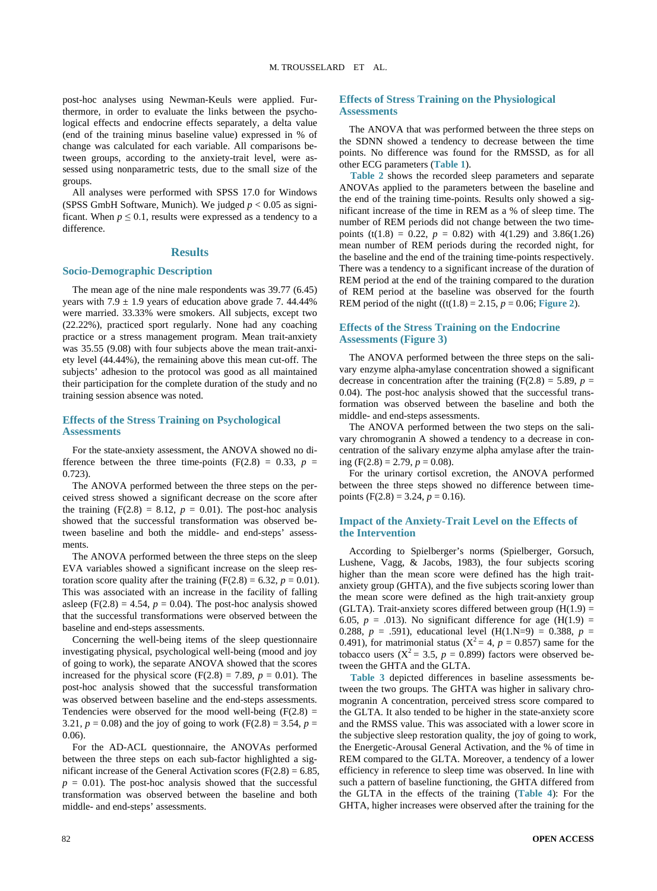post-hoc analyses using Newman-Keuls were applied. Furthermore, in order to evaluate the links between the psychological effects and endocrine effects separately, a delta value (end of the training minus baseline value) expressed in % of change was calculated for each variable. All comparisons between groups, according to the anxiety-trait level, were assessed using nonparametric tests, due to the small size of the groups.

All analyses were performed with SPSS 17.0 for Windows (SPSS GmbH Software, Munich). We judged  $p < 0.05$  as significant. When  $p \le 0.1$ , results were expressed as a tendency to a difference.

## **Results**

## **Socio-Demographic Description**

The mean age of the nine male respondents was 39.77 (6.45) years with  $7.9 \pm 1.9$  years of education above grade 7. 44.44% were married. 33.33% were smokers. All subjects, except two (22.22%), practiced sport regularly. None had any coaching practice or a stress management program. Mean trait-anxiety was 35.55 (9.08) with four subjects above the mean trait-anxiety level (44.44%), the remaining above this mean cut-off. The subjects' adhesion to the protocol was good as all maintained their participation for the complete duration of the study and no training session absence was noted.

## **Effects of the Stress Training on Psychological Assessments**

For the state-anxiety assessment, the ANOVA showed no difference between the three time-points  $(F(2.8) = 0.33, p =$ 0.723).

The ANOVA performed between the three steps on the perceived stress showed a significant decrease on the score after the training  $(F(2.8) = 8.12, p = 0.01)$ . The post-hoc analysis showed that the successful transformation was observed between baseline and both the middle- and end-steps' assessments.

The ANOVA performed between the three steps on the sleep EVA variables showed a significant increase on the sleep restoration score quality after the training  $(F(2.8) = 6.32, p = 0.01)$ . This was associated with an increase in the facility of falling asleep  $(F(2.8) = 4.54, p = 0.04)$ . The post-hoc analysis showed that the successful transformations were observed between the baseline and end-steps assessments.

Concerning the well-being items of the sleep questionnaire investigating physical, psychological well-being (mood and joy of going to work), the separate ANOVA showed that the scores increased for the physical score  $(F(2.8) = 7.89, p = 0.01)$ . The post-hoc analysis showed that the successful transformation was observed between baseline and the end-steps assessments. Tendencies were observed for the mood well-being  $(F(2.8) =$ 3.21,  $p = 0.08$ ) and the joy of going to work (F(2.8) = 3.54,  $p =$ 0.06).

For the AD-ACL questionnaire, the ANOVAs performed between the three steps on each sub-factor highlighted a significant increase of the General Activation scores ( $F(2.8) = 6.85$ ,  $p = 0.01$ ). The post-hoc analysis showed that the successful transformation was observed between the baseline and both middle- and end-steps' assessments.

## **Effects of Stress Training on the Physiological Assessments**

The ANOVA that was performed between the three steps on the SDNN showed a tendency to decrease between the time points. No difference was found for the RMSSD, as for all other ECG parameters (**[Table 1](#page-5-0)**).

**[Table 2](#page-5-1)** shows the recorded sleep parameters and separate ANOVAs applied to the parameters between the baseline and the end of the training time-points. Results only showed a significant increase of the time in REM as a % of sleep time. The number of REM periods did not change between the two timepoints (t(1.8) = 0.22,  $p = 0.82$ ) with 4(1.29) and 3.86(1.26) mean number of REM periods during the recorded night, for the baseline and the end of the training time-points respectively. There was a tendency to a significant increase of the duration of REM period at the end of the training compared to the duration of REM period at the baseline was observed for the fourth REM period of the night ((t(1.8) = 2.15,  $p = 0.06$ ; [Figure 2](#page-6-0)).

# **Effects of the Stress Training on the Endocrine Assessments [\(Figure 3\)](#page-7-0)**

The ANOVA performed between the three steps on the salivary enzyme alpha-amylase concentration showed a significant decrease in concentration after the training  $(F(2.8) = 5.89, p =$ 0.04). The post-hoc analysis showed that the successful transformation was observed between the baseline and both the middle- and end-steps assessments.

The ANOVA performed between the two steps on the salivary chromogranin A showed a tendency to a decrease in concentration of the salivary enzyme alpha amylase after the training (F(2.8) = 2.79,  $p = 0.08$ ).

For the urinary cortisol excretion, the ANOVA performed between the three steps showed no difference between timepoints (F(2.8) = 3.24,  $p = 0.16$ ).

## **Impact of the Anxiety-Trait Level on the Effects of the Intervention**

According to Spielberger's norms (Spielberger, Gorsuch, Lushene, Vagg, & Jacobs, 1983), the four subjects scoring higher than the mean score were defined has the high traitanxiety group (GHTA), and the five subjects scoring lower than the mean score were defined as the high trait-anxiety group (GLTA). Trait-anxiety scores differed between group  $(H(1.9) =$ 6.05,  $p = .013$ ). No significant difference for age (H(1.9) = 0.288,  $p = .591$ ), educational level (H(1.N=9) = 0.388,  $p =$ 0.491), for matrimonial status ( $X^2 = 4$ ,  $p = 0.857$ ) same for the tobacco users  $(X^2 = 3.5, p = 0.899)$  factors were observed between the GHTA and the GLTA.

**[Table 3](#page-6-1)** depicted differences in baseline assessments between the two groups. The GHTA was higher in salivary chromogranin A concentration, perceived stress score compared to the GLTA. It also tended to be higher in the state-anxiety score and the RMSS value. This was associated with a lower score in the subjective sleep restoration quality, the joy of going to work, the Energetic-Arousal General Activation, and the % of time in REM compared to the GLTA. Moreover, a tendency of a lower efficiency in reference to sleep time was observed. In line with such a pattern of baseline functioning, the GHTA differed from the GLTA in the effects of the training (**[Table 4](#page-7-1)**): For the GHTA, higher increases were observed after the training for the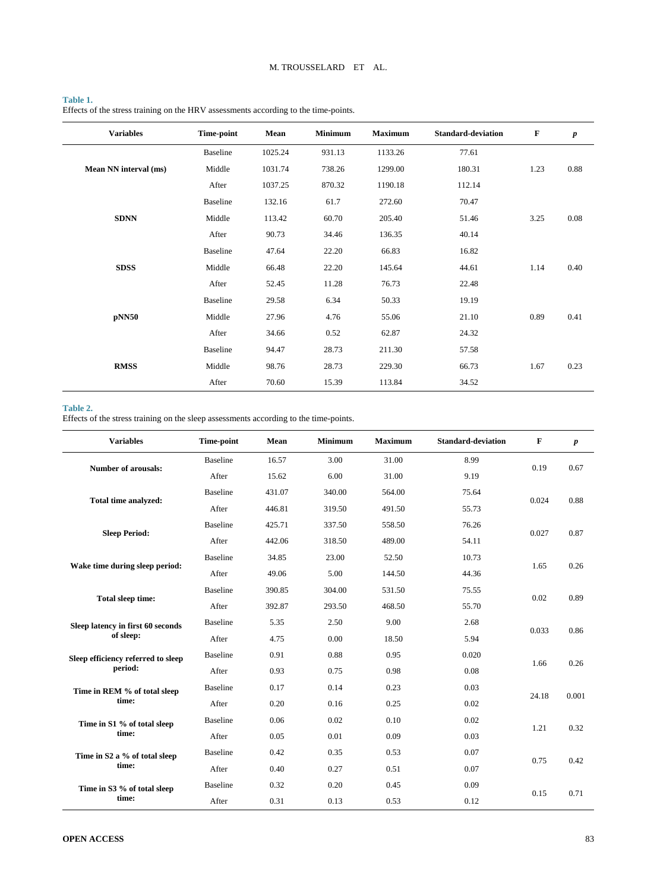# <span id="page-5-0"></span>**Table 1.**

Effects of the stress training on the HRV assessments according to the time-points.

| <b>Variables</b>      | Time-point      | Mean    | <b>Minimum</b> | <b>Maximum</b> | <b>Standard-deviation</b> | $\mathbf F$ | $\boldsymbol{p}$ |
|-----------------------|-----------------|---------|----------------|----------------|---------------------------|-------------|------------------|
|                       | <b>Baseline</b> | 1025.24 | 931.13         | 1133.26        | 77.61                     |             |                  |
| Mean NN interval (ms) | Middle          | 1031.74 | 738.26         | 1299.00        | 180.31                    | 1.23        | 0.88             |
|                       | After           | 1037.25 | 870.32         | 1190.18        | 112.14                    |             |                  |
|                       | <b>Baseline</b> | 132.16  | 61.7           | 272.60         | 70.47                     |             |                  |
| <b>SDNN</b>           | Middle          | 113.42  | 60.70          | 205.40         | 51.46                     | 3.25        | 0.08             |
|                       | After           | 90.73   | 34.46          | 136.35         | 40.14                     |             |                  |
|                       | <b>Baseline</b> | 47.64   | 22.20          | 66.83          | 16.82                     |             |                  |
| <b>SDSS</b>           | Middle          | 66.48   | 22.20          | 145.64         | 44.61                     | 1.14        | 0.40             |
|                       | After           | 52.45   | 11.28          | 76.73          | 22.48                     |             |                  |
|                       | <b>Baseline</b> | 29.58   | 6.34           | 50.33          | 19.19                     |             |                  |
| pNN50                 | Middle          | 27.96   | 4.76           | 55.06          | 21.10                     | 0.89        | 0.41             |
|                       | After           | 34.66   | 0.52           | 62.87          | 24.32                     |             |                  |
|                       | <b>Baseline</b> | 94.47   | 28.73          | 211.30         | 57.58                     |             |                  |
| <b>RMSS</b>           | Middle          | 98.76   | 28.73          | 229.30         | 66.73                     | 1.67        | 0.23             |
|                       | After           | 70.60   | 15.39          | 113.84         | 34.52                     |             |                  |

# <span id="page-5-1"></span>**Table 2.**

Effects of the stress training on the sleep assessments according to the time-points.

| <b>Variables</b>                   | Time-point      | Mean   | <b>Minimum</b> | <b>Maximum</b> | <b>Standard-deviation</b> | F     | $\boldsymbol{p}$ |
|------------------------------------|-----------------|--------|----------------|----------------|---------------------------|-------|------------------|
| <b>Number of arousals:</b>         | <b>Baseline</b> | 16.57  | 3.00           | 31.00          | 8.99                      | 0.19  | 0.67             |
|                                    | After           | 15.62  | 6.00           | 31.00          | 9.19                      |       |                  |
| Total time analyzed:               | <b>Baseline</b> | 431.07 | 340.00         | 564.00         | 75.64                     | 0.024 | 0.88             |
|                                    | After           | 446.81 | 319.50         | 491.50         | 55.73                     |       |                  |
|                                    | <b>Baseline</b> | 425.71 | 337.50         | 558.50         | 76.26                     | 0.027 | 0.87             |
| <b>Sleep Period:</b>               | After           | 442.06 | 318.50         | 489.00         | 54.11                     |       |                  |
| Wake time during sleep period:     | <b>Baseline</b> | 34.85  | 23.00          | 52.50          | 10.73                     | 1.65  | 0.26             |
|                                    | After           | 49.06  | 5.00           | 144.50         | 44.36                     |       |                  |
| <b>Total sleep time:</b>           | <b>Baseline</b> | 390.85 | 304.00         | 531.50         | 75.55                     |       | 0.89             |
|                                    | After           | 392.87 | 293.50         | 468.50         | 55.70                     | 0.02  |                  |
| Sleep latency in first 60 seconds  | <b>Baseline</b> | 5.35   | 2.50           | 9.00<br>2.68   |                           | 0.033 | 0.86             |
| of sleep:                          | After           | 4.75   | 0.00           | 18.50          | 5.94                      |       |                  |
| Sleep efficiency referred to sleep | <b>Baseline</b> | 0.91   | 0.88           | 0.95           | 0.020                     | 1.66  | 0.26             |
| period:                            | After           | 0.93   | 0.75           | 0.98           | 0.08                      |       |                  |
| Time in REM % of total sleep       | <b>Baseline</b> | 0.17   | 0.14           | 0.23           | 0.03                      | 24.18 | 0.001            |
| time:                              | After           | 0.20   | 0.16           | 0.25           | 0.02                      |       |                  |
| Time in S1 % of total sleep        | <b>Baseline</b> | 0.06   | 0.02           | 0.10           | 0.02                      | 1.21  | 0.32             |
| time:                              | After           | 0.05   | 0.01           | 0.09           | 0.03                      |       |                  |
| Time in S2 a % of total sleep      | <b>Baseline</b> | 0.42   | 0.35           | 0.53           | 0.07                      | 0.75  | 0.42             |
| time:                              | After           | 0.40   | 0.27           | 0.51           | 0.07                      |       |                  |
| Time in S3 % of total sleep        | <b>Baseline</b> | 0.32   | 0.20           | 0.45           | 0.09                      | 0.15  | 0.71             |
| time:                              | After           | 0.31   | 0.13           | 0.53           | 0.12                      |       |                  |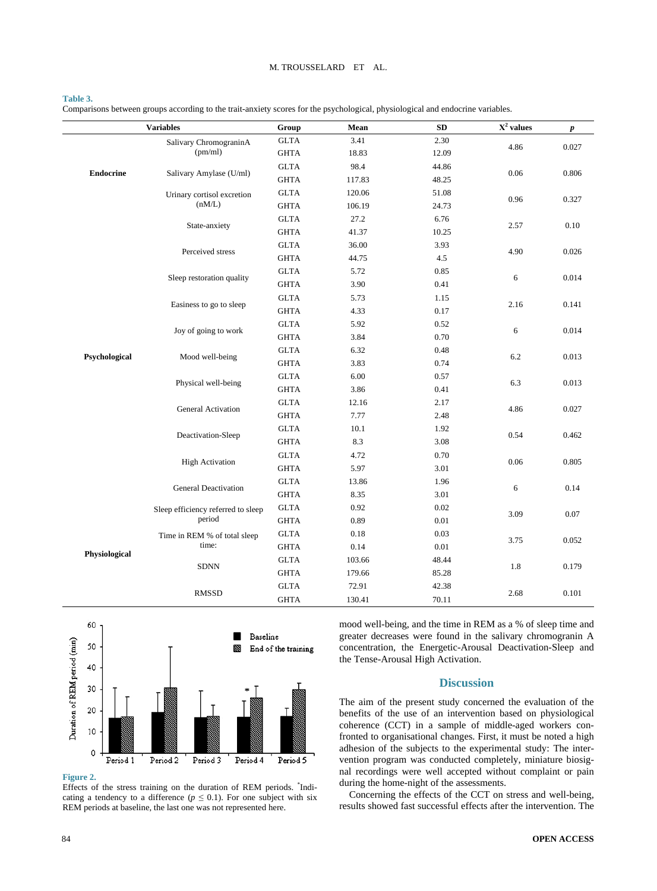#### M. TROUSSELARD ET AL.

#### <span id="page-6-1"></span>**Table 3.**

Comparisons between groups according to the trait-anxiety scores for the psychological, physiological and endocrine variables.

| <b>Variables</b> |                                    | Group                 | Mean   | SD       | $\overline{X^2}$ values | $\boldsymbol{p}$ |
|------------------|------------------------------------|-----------------------|--------|----------|-------------------------|------------------|
|                  | Salivary ChromograninA             | <b>GLTA</b>           | 3.41   | 2.30     |                         |                  |
|                  | (pm/ml)                            | <b>GHTA</b>           | 18.83  | 12.09    | 4.86                    | 0.027            |
|                  |                                    | <b>GLTA</b>           | 98.4   | 44.86    |                         |                  |
| <b>Endocrine</b> | Salivary Amylase (U/ml)            | <b>GHTA</b>           | 117.83 | 48.25    | 0.06                    | 0.806            |
|                  | Urinary cortisol excretion         | <b>GLTA</b>           | 120.06 | 51.08    | 0.96                    | 0.327            |
|                  | (nM/L)                             | $\operatorname{GHTA}$ | 106.19 | 24.73    |                         |                  |
|                  |                                    | <b>GLTA</b>           | 27.2   | 6.76     |                         | 0.10             |
|                  | State-anxiety                      | <b>GHTA</b>           | 41.37  | 10.25    | 2.57                    |                  |
|                  |                                    | $\operatorname{GLTA}$ | 36.00  | 3.93     |                         |                  |
|                  | Perceived stress                   | $\operatorname{GHTA}$ | 44.75  | 4.5      | 4.90                    | 0.026            |
|                  | Sleep restoration quality          | <b>GLTA</b>           | 5.72   | 0.85     | 6                       | 0.014            |
|                  |                                    | <b>GHTA</b>           | 3.90   | 0.41     |                         |                  |
|                  | Easiness to go to sleep            | <b>GLTA</b>           | 5.73   | 1.15     |                         | 0.141            |
|                  |                                    | <b>GHTA</b>           | 4.33   | $0.17\,$ | 2.16                    |                  |
|                  | Joy of going to work               | <b>GLTA</b>           | 5.92   | 0.52     |                         | 0.014            |
|                  |                                    | <b>GHTA</b>           | 3.84   | $0.70\,$ | 6                       |                  |
| Psychological    | Mood well-being                    | <b>GLTA</b>           | 6.32   | 0.48     | 6.2                     | 0.013            |
|                  |                                    | <b>GHTA</b>           | 3.83   | 0.74     |                         |                  |
|                  | Physical well-being                | <b>GLTA</b>           | 6.00   | 0.57     | 6.3                     | 0.013            |
|                  |                                    | <b>GHTA</b>           | 3.86   | 0.41     |                         |                  |
|                  | General Activation                 | <b>GLTA</b>           | 12.16  | 2.17     | 4.86                    | 0.027            |
|                  |                                    | $\operatorname{GHTA}$ | 7.77   | 2.48     |                         |                  |
|                  | Deactivation-Sleep                 | <b>GLTA</b>           | 10.1   | 1.92     | 0.54                    | 0.462            |
|                  |                                    | <b>GHTA</b>           | 8.3    | 3.08     |                         |                  |
|                  | <b>High Activation</b>             | <b>GLTA</b>           | 4.72   | 0.70     | 0.06                    | 0.805            |
|                  |                                    | <b>GHTA</b>           | 5.97   | 3.01     |                         |                  |
|                  | <b>General Deactivation</b>        | <b>GLTA</b>           | 13.86  | 1.96     | 6                       | 0.14             |
|                  |                                    | $\operatorname{GHTA}$ | 8.35   | 3.01     |                         |                  |
|                  | Sleep efficiency referred to sleep | <b>GLTA</b>           | 0.92   | 0.02     | 3.09                    | 0.07             |
|                  | period                             | $\operatorname{GHTA}$ | 0.89   | $0.01\,$ |                         |                  |
|                  | Time in REM % of total sleep       | <b>GLTA</b>           | 0.18   | 0.03     | 3.75                    | 0.052            |
| Physiological    | time:                              | <b>GHTA</b>           | 0.14   | $0.01\,$ |                         |                  |
|                  | <b>SDNN</b>                        | <b>GLTA</b>           | 103.66 | 48.44    | 1.8                     | 0.179            |
|                  |                                    | $\operatorname{GHTA}$ | 179.66 | 85.28    |                         |                  |
|                  | <b>RMSSD</b>                       | <b>GLTA</b>           | 72.91  | 42.38    | 2.68                    | 0.101            |
|                  |                                    | <b>GHTA</b>           | 130.41 | 70.11    |                         |                  |

<span id="page-6-0"></span>

**Figure 2.**

Effects of the stress training on the duration of REM periods. \* Indicating a tendency to a difference ( $p \leq 0.1$ ). For one subject with six REM periods at baseline, the last one was not represented here.

mood well-being, and the time in REM as a % of sleep time and greater decreases were found in the salivary chromogranin A concentration, the Energetic-Arousal Deactivation-Sleep and the Tense-Arousal High Activation.

## **Discussion**

The aim of the present study concerned the evaluation of the benefits of the use of an intervention based on physiological coherence (CCT) in a sample of middle-aged workers confronted to organisational changes. First, it must be noted a high adhesion of the subjects to the experimental study: The intervention program was conducted completely, miniature biosignal recordings were well accepted without complaint or pain during the home-night of the assessments.

Concerning the effects of the CCT on stress and well-being, results showed fast successful effects after the intervention. The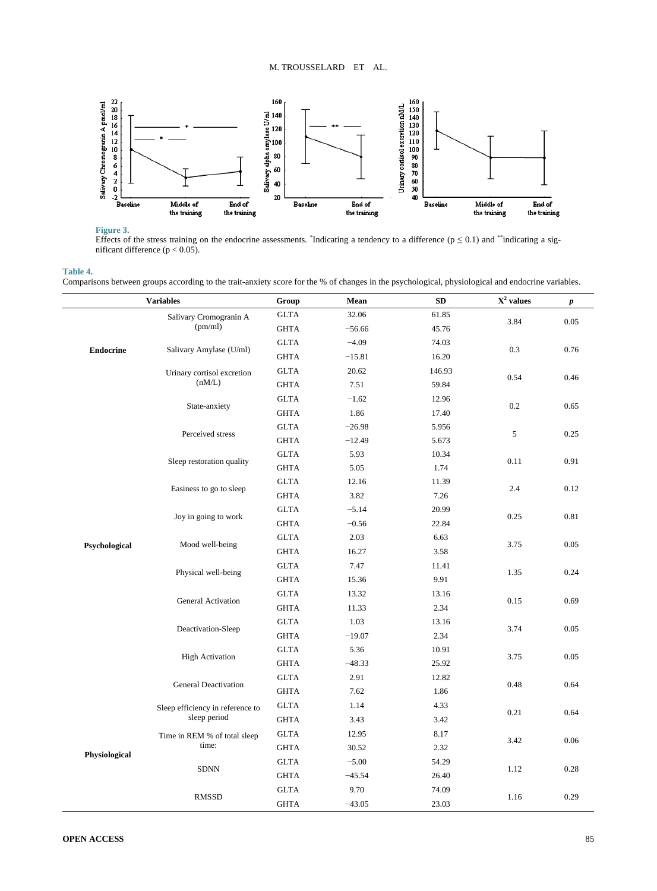<span id="page-7-0"></span>

# **Figure 3.**

Effects of the stress training on the endocrine assessments. <sup>\*</sup>Indicating a tendency to a difference ( $p \le 0.1$ ) and \*\*indicating a significant difference  $(p < 0.05)$ .

## <span id="page-7-1"></span>**Table 4.**

Comparisons between groups according to the trait-anxiety score for the % of changes in the psychological, physiological and endocrine variables.

| <b>Variables</b> |                                                  | Group       | Mean     | SD     | $X^2$ values | $\boldsymbol{p}$ |
|------------------|--------------------------------------------------|-------------|----------|--------|--------------|------------------|
|                  | Salivary Cromogranin A                           | <b>GLTA</b> | 32.06    | 61.85  | 3.84         | 0.05             |
|                  | (pm/ml)                                          | <b>GHTA</b> | $-56.66$ | 45.76  |              |                  |
| <b>Endocrine</b> |                                                  | <b>GLTA</b> | $-4.09$  | 74.03  |              | 0.76             |
|                  | Salivary Amylase (U/ml)                          | <b>GHTA</b> | $-15.81$ | 16.20  | 0.3          |                  |
|                  | Urinary cortisol excretion                       | <b>GLTA</b> | 20.62    | 146.93 | 0.54         |                  |
|                  | (nM/L)                                           | <b>GHTA</b> | 7.51     | 59.84  |              | 0.46             |
|                  |                                                  | <b>GLTA</b> | $-1.62$  | 12.96  | 0.2          |                  |
|                  | State-anxiety                                    | <b>GHTA</b> | 1.86     | 17.40  |              | 0.65             |
|                  |                                                  | <b>GLTA</b> | $-26.98$ | 5.956  |              |                  |
|                  | Perceived stress                                 | <b>GHTA</b> | $-12.49$ | 5.673  | 5            | 0.25             |
|                  | Sleep restoration quality                        | <b>GLTA</b> | 5.93     | 10.34  | 0.11         | 0.91             |
|                  |                                                  | <b>GHTA</b> | 5.05     | 1.74   |              |                  |
|                  |                                                  | <b>GLTA</b> | 12.16    | 11.39  | 2.4          | 0.12             |
|                  | Easiness to go to sleep                          | <b>GHTA</b> | 3.82     | 7.26   |              |                  |
|                  | Joy in going to work                             | <b>GLTA</b> | $-5.14$  | 20.99  | 0.25         | $0.81\,$         |
|                  |                                                  | <b>GHTA</b> | $-0.56$  | 22.84  |              |                  |
|                  | Mood well-being                                  | <b>GLTA</b> | 2.03     | 6.63   | 3.75         | 0.05             |
| Psychological    |                                                  | <b>GHTA</b> | 16.27    | 3.58   |              |                  |
|                  | Physical well-being                              | <b>GLTA</b> | 7.47     | 11.41  | 1.35         | 0.24             |
|                  |                                                  | <b>GHTA</b> | 15.36    | 9.91   |              |                  |
|                  | General Activation                               | <b>GLTA</b> | 13.32    | 13.16  | 0.15         | 0.69             |
|                  |                                                  | <b>GHTA</b> | 11.33    | 2.34   |              |                  |
|                  | Deactivation-Sleep                               | <b>GLTA</b> | 1.03     | 13.16  | 3.74         | 0.05             |
|                  |                                                  | <b>GHTA</b> | $-19.07$ | 2.34   |              |                  |
|                  |                                                  | <b>GLTA</b> | 5.36     | 10.91  | 3.75         | 0.05             |
|                  | <b>High Activation</b>                           | <b>GHTA</b> | $-48.33$ | 25.92  |              |                  |
|                  | <b>General Deactivation</b>                      | <b>GLTA</b> | 2.91     | 12.82  | 0.48         | 0.64             |
|                  |                                                  | <b>GHTA</b> | 7.62     | 1.86   |              |                  |
| Physiological    | Sleep efficiency in reference to<br>sleep period | <b>GLTA</b> | 1.14     | 4.33   | 0.21         | 0.64             |
|                  |                                                  | <b>GHTA</b> | 3.43     | 3.42   |              |                  |
|                  | Time in REM % of total sleep<br>time:            | <b>GLTA</b> | 12.95    | 8.17   | 3.42         | 0.06             |
|                  |                                                  | <b>GHTA</b> | 30.52    | 2.32   |              |                  |
|                  | <b>SDNN</b>                                      | <b>GLTA</b> | $-5.00$  | 54.29  |              |                  |
|                  |                                                  | <b>GHTA</b> | $-45.54$ | 26.40  | 1.12         | 0.28             |
|                  | <b>RMSSD</b>                                     | <b>GLTA</b> | 9.70     | 74.09  |              |                  |
|                  |                                                  | <b>GHTA</b> | $-43.05$ | 23.03  | 1.16         | 0.29             |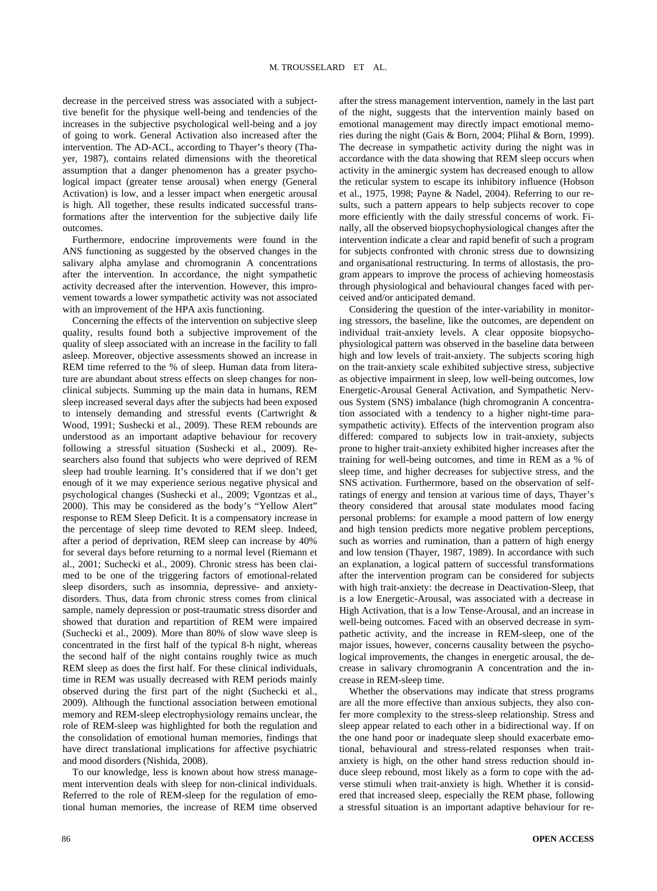decrease in the perceived stress was associated with a subjecttive benefit for the physique well-being and tendencies of the increases in the subjective psychological well-being and a joy of going to work. General Activation also increased after the intervention. The AD-ACL, according to Thayer's theory (Thayer, 1987), contains related dimensions with the theoretical assumption that a danger phenomenon has a greater psychological impact (greater tense arousal) when energy (General Activation) is low, and a lesser impact when energetic arousal is high. All together, these results indicated successful transformations after the intervention for the subjective daily life outcomes.

Furthermore, endocrine improvements were found in the ANS functioning as suggested by the observed changes in the salivary alpha amylase and chromogranin A concentrations after the intervention. In accordance, the night sympathetic activity decreased after the intervention. However, this improvement towards a lower sympathetic activity was not associated with an improvement of the HPA axis functioning.

Concerning the effects of the intervention on subjective sleep quality, results found both a subjective improvement of the quality of sleep associated with an increase in the facility to fall asleep. Moreover, objective assessments showed an increase in REM time referred to the % of sleep. Human data from literature are abundant about stress effects on sleep changes for nonclinical subjects. Summing up the main data in humans, REM sleep increased several days after the subjects had been exposed to intensely demanding and stressful events (Cartwright & Wood, 1991; Sushecki et al., 2009). These REM rebounds are understood as an important adaptive behaviour for recovery following a stressful situation (Sushecki et al., 2009). Researchers also found that subjects who were deprived of REM sleep had trouble learning. It's considered that if we don't get enough of it we may experience serious negative physical and psychological changes (Sushecki et al., 2009; Vgontzas et al., 2000). This may be considered as the body's "Yellow Alert" response to REM Sleep Deficit. It is a compensatory increase in the percentage of sleep time devoted to REM sleep. Indeed, after a period of deprivation, REM sleep can increase by 40% for several days before returning to a normal level (Riemann et al., 2001; Suchecki et al., 2009). Chronic stress has been claimed to be one of the triggering factors of emotional-related sleep disorders, such as insomnia, depressive- and anxietydisorders. Thus, data from chronic stress comes from clinical sample, namely depression or post-traumatic stress disorder and showed that duration and repartition of REM were impaired (Suchecki et al., 2009). More than 80% of slow wave sleep is concentrated in the first half of the typical 8-h night, whereas the second half of the night contains roughly twice as much REM sleep as does the first half. For these clinical individuals, time in REM was usually decreased with REM periods mainly observed during the first part of the night (Suchecki et al., 2009). Although the functional association between emotional memory and REM-sleep electrophysiology remains unclear, the role of REM-sleep was highlighted for both the regulation and the consolidation of emotional human memories, findings that have direct translational implications for affective psychiatric and mood disorders (Nishida, 2008).

To our knowledge, less is known about how stress management intervention deals with sleep for non-clinical individuals. Referred to the role of REM-sleep for the regulation of emotional human memories, the increase of REM time observed after the stress management intervention, namely in the last part of the night, suggests that the intervention mainly based on emotional management may directly impact emotional memories during the night (Gais & Born, 2004; Plihal & Born, 1999). The decrease in sympathetic activity during the night was in accordance with the data showing that REM sleep occurs when activity in the aminergic system has decreased enough to allow the reticular system to escape its inhibitory influence (Hobson et al., 1975, 1998; Payne & Nadel, 2004). Referring to our results, such a pattern appears to help subjects recover to cope more efficiently with the daily stressful concerns of work. Finally, all the observed biopsychophysiological changes after the intervention indicate a clear and rapid benefit of such a program for subjects confronted with chronic stress due to downsizing and organisational restructuring. In terms of allostasis, the program appears to improve the process of achieving homeostasis through physiological and behavioural changes faced with perceived and/or anticipated demand.

Considering the question of the inter-variability in monitoring stressors, the baseline, like the outcomes, are dependent on individual trait-anxiety levels. A clear opposite biopsychophysiological pattern was observed in the baseline data between high and low levels of trait-anxiety. The subjects scoring high on the trait-anxiety scale exhibited subjective stress, subjective as objective impairment in sleep, low well-being outcomes, low Energetic-Arousal General Activation, and Sympathetic Nervous System (SNS) imbalance (high chromogranin A concentration associated with a tendency to a higher night-time parasympathetic activity). Effects of the intervention program also differed: compared to subjects low in trait-anxiety, subjects prone to higher trait-anxiety exhibited higher increases after the training for well-being outcomes, and time in REM as a % of sleep time, and higher decreases for subjective stress, and the SNS activation. Furthermore, based on the observation of selfratings of energy and tension at various time of days, Thayer's theory considered that arousal state modulates mood facing personal problems: for example a mood pattern of low energy and high tension predicts more negative problem perceptions, such as worries and rumination, than a pattern of high energy and low tension (Thayer, 1987, 1989). In accordance with such an explanation, a logical pattern of successful transformations after the intervention program can be considered for subjects with high trait-anxiety: the decrease in Deactivation-Sleep, that is a low Energetic-Arousal, was associated with a decrease in High Activation, that is a low Tense-Arousal, and an increase in well-being outcomes. Faced with an observed decrease in sympathetic activity, and the increase in REM-sleep, one of the major issues, however, concerns causality between the psychological improvements, the changes in energetic arousal, the decrease in salivary chromogranin A concentration and the increase in REM-sleep time.

Whether the observations may indicate that stress programs are all the more effective than anxious subjects, they also confer more complexity to the stress-sleep relationship. Stress and sleep appear related to each other in a bidirectional way. If on the one hand poor or inadequate sleep should exacerbate emotional, behavioural and stress-related responses when traitanxiety is high, on the other hand stress reduction should induce sleep rebound, most likely as a form to cope with the adverse stimuli when trait-anxiety is high. Whether it is considered that increased sleep, especially the REM phase, following a stressful situation is an important adaptive behaviour for re-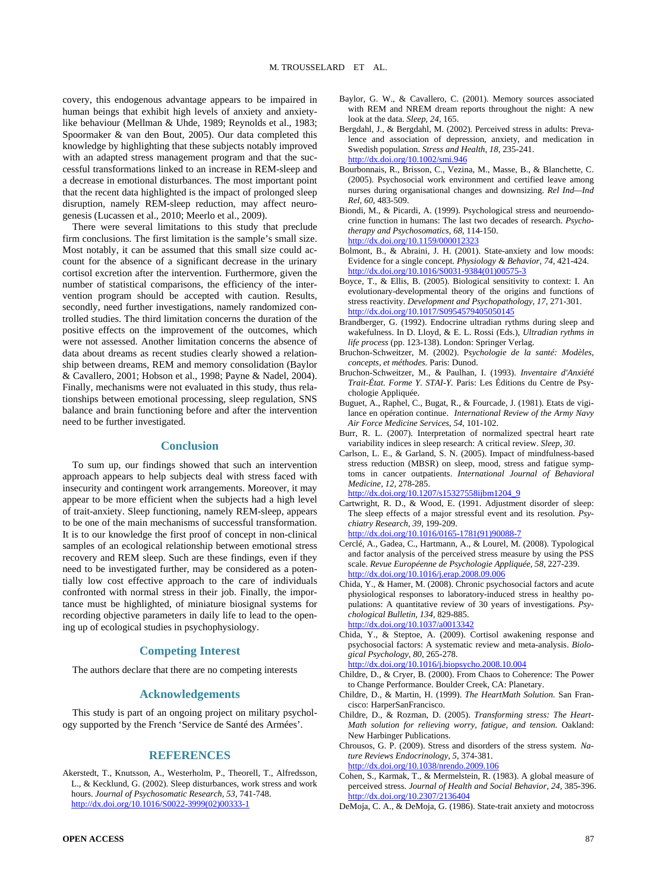covery, this endogenous advantage appears to be impaired in human beings that exhibit high levels of anxiety and anxietylike behaviour (Mellman & Uhde, 1989; Reynolds et al., 1983; Spoormaker & van den Bout, 2005). Our data completed this knowledge by highlighting that these subjects notably improved with an adapted stress management program and that the successful transformations linked to an increase in REM-sleep and a decrease in emotional disturbances. The most important point that the recent data highlighted is the impact of prolonged sleep disruption, namely REM-sleep reduction, may affect neurogenesis (Lucassen et al., 2010; Meerlo et al., 2009).

There were several limitations to this study that preclude firm conclusions. The first limitation is the sample's small size. Most notably, it can be assumed that this small size could account for the absence of a significant decrease in the urinary cortisol excretion after the intervention. Furthermore, given the number of statistical comparisons, the efficiency of the intervention program should be accepted with caution. Results, secondly, need further investigations, namely randomized controlled studies. The third limitation concerns the duration of the positive effects on the improvement of the outcomes, which were not assessed. Another limitation concerns the absence of data about dreams as recent studies clearly showed a relationship between dreams, REM and memory consolidation (Baylor & Cavallero, 2001; Hobson et al., 1998; Payne & Nadel, 2004). Finally, mechanisms were not evaluated in this study, thus relationships between emotional processing, sleep regulation, SNS balance and brain functioning before and after the intervention need to be further investigated.

## **Conclusion**

To sum up, our findings showed that such an intervention approach appears to help subjects deal with stress faced with insecurity and contingent work arrangements. Moreover, it may appear to be more efficient when the subjects had a high level of trait-anxiety. Sleep functioning, namely REM-sleep, appears to be one of the main mechanisms of successful transformation. It is to our knowledge the first proof of concept in non-clinical samples of an ecological relationship between emotional stress recovery and REM sleep. Such are these findings, even if they need to be investigated further, may be considered as a potentially low cost effective approach to the care of individuals confronted with normal stress in their job. Finally, the importance must be highlighted, of miniature biosignal systems for recording objective parameters in daily life to lead to the opening up of ecological studies in psychophysiology.

# **Competing Interest**

The authors declare that there are no competing interests

#### **Acknowledgements**

This study is part of an ongoing project on military psychology supported by the French 'Service de Santé des Armées'.

#### **REFERENCES**

Akerstedt, T., Knutsson, A., Westerholm, P., Theorell, T., Alfredsson, L., & Kecklund, G. (2002). Sleep disturbances, work stress and work hours. *Journal of Psychosomatic Research, 53,* 741-748. [http://dx.doi.org/10.1016/S0022-3999\(02\)00333-1](http://dx.doi.org/10.1016/S0022-3999(02)00333-1)

- Baylor, G. W., & Cavallero, C. (2001). Memory sources associated with REM and NREM dream reports throughout the night: A new look at the data. *Sleep, 24,* 165.
- Bergdahl, J., & Bergdahl, M. (2002). Perceived stress in adults: Prevalence and association of depression, anxiety, and medication in Swedish population. *Stress and Health, 18,* 235-241. <http://dx.doi.org/10.1002/smi.946>
- Bourbonnais, R., Brisson, C., Vezina, M., Masse, B., & Blanchette, C. (2005). Psychosocial work environment and certified leave among nurses during organisational changes and downsizing. *Rel Ind—Ind Rel, 60,* 483-509.
- Biondi, M., & Picardi, A. (1999). Psychological stress and neuroendocrine function in humans: The last two decades of research. *Psychotherapy and Psychosomatics, 68,* 114-150. <http://dx.doi.org/10.1159/000012323>
- Bolmont, B., & Abraini, J. H. (2001). State-anxiety and low moods: Evidence for a single concept. *Physiology & Behavior, 74,* 421-424. [http://dx.doi.org/10.1016/S0031-9384\(01\)00575-3](http://dx.doi.org/10.1016/S0031-9384(01)00575-3)
- Boyce, T., & Ellis, B. (2005). Biological sensitivity to context: I. An evolutionary-developmental theory of the origins and functions of stress reactivity. *Development and Psychopathology, 17,* 271-301. <http://dx.doi.org/10.1017/S0954579405050145>
- Brandberger, G. (1992). Endocrine ultradian rythms during sleep and wakefulness. In D. Lloyd, & E. L. Rossi (Eds.), *Ultradian rythms in life process* (pp. 123-138). London: Springer Verlag.
- Bruchon-Schweitzer, M. (2002). P*sychologie de la santé: Modèles, concepts, et méthodes.* Paris: Dunod.
- Bruchon-Schweitzer, M., & Paulhan, I. (1993). *Inventaire d'Anxiété Trait-État. Forme Y. STAI-Y.* Paris: Les Éditions du Centre de Psychologie Appliquée.
- Buguet, A., Raphel, C., Bugat, R., & Fourcade, J. (1981). Etats de vigilance en opération continue. *International Review of the Army Navy Air Force Medicine Services, 54,* 101-102.
- Burr, R. L. (2007). Interpretation of normalized spectral heart rate variability indices in sleep research: A critical review. *Sleep, 30*.
- Carlson, L. E., & Garland, S. N. (2005). Impact of mindfulness-based stress reduction (MBSR) on sleep, mood, stress and fatigue symptoms in cancer outpatients. *International Journal of Behavioral Medicine, 12,* 278-285.

[http://dx.doi.org/10.1207/s15327558ijbm1204\\_9](http://dx.doi.org/10.1207/s15327558ijbm1204_9)

- Cartwright, R. D., & Wood, E. (1991. Adjustment disorder of sleep: The sleep effects of a major stressful event and its resolution. *Psychiatry Research, 39,* 199-209.
	- [http://dx.doi.org/10.1016/0165-1781\(91\)90088-7](http://dx.doi.org/10.1016/0165-1781(91)90088-7)
- Cerclé, A., Gadea, C., Hartmann, A., & Lourel, M. (2008). Typological and factor analysis of the perceived stress measure by using the PSS scale. *Revue Européenne de Psychologie Appliquée, 58,* 227-239. <http://dx.doi.org/10.1016/j.erap.2008.09.006>
- Chida, Y., & Hamer, M. (2008). Chronic psychosocial factors and acute physiological responses to laboratory-induced stress in healthy populations: A quantitative review of 30 years of investigations. *Psychological Bulletin, 134,* 829-885. <http://dx.doi.org/10.1037/a0013342>
- Chida, Y., & Steptoe, A. (2009). Cortisol awakening response and psychosocial factors: A systematic review and meta-analysis. *Biological Psychology, 80,* 265-278. <http://dx.doi.org/10.1016/j.biopsycho.2008.10.004>
- Childre, D., & Cryer, B. (2000). From Chaos to Coherence: The Power to Change Performance. Boulder Creek, CA: Planetary.
- Childre, D., & Martin, H. (1999). *The HeartMath Solution.* San Francisco: HarperSanFrancisco.
- Childre, D., & Rozman, D. (2005). *Transforming stress: The Heart-Math solution for relieving worry, fatigue, and tension.* Oakland: New Harbinger Publications.
- Chrousos, G. P. (2009). Stress and disorders of the stress system. *Nature Reviews Endocrinology, 5,* 374-381. <http://dx.doi.org/10.1038/nrendo.2009.106>
- Cohen, S., Karmak, T., & Mermelstein, R. (1983). A global measure of perceived stress. *Journal of Health and Social Behavior, 24,* 385-396. <http://dx.doi.org/10.2307/2136404>
- DeMoja, C. A., & DeMoja, G. (1986). State-trait anxiety and motocross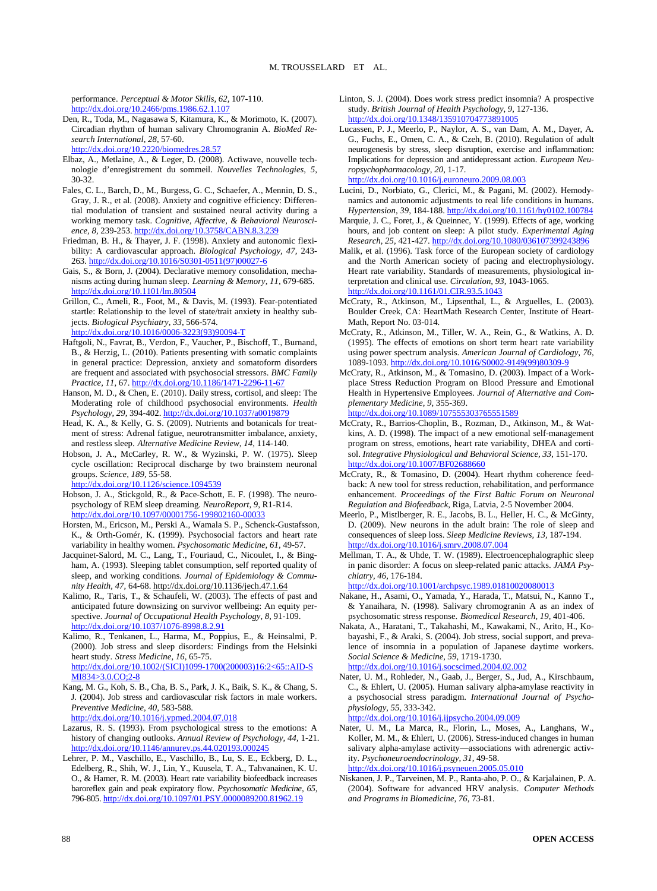performance. *Perceptual & Motor Skills, 62,* 107-110. <http://dx.doi.org/10.2466/pms.1986.62.1.107>

Den, R., Toda, M., Nagasawa S, Kitamura, K., & Morimoto, K. (2007). Circadian rhythm of human salivary Chromogranin A. *BioMed Research International, 28,* 57-60.

<http://dx.doi.org/10.2220/biomedres.28.57>

- Elbaz, A., Metlaine, A., & Leger, D. (2008). Actiwave, nouvelle technologie d'enregistrement du sommeil. *Nouvelles Technologies, 5,*  30-32.
- Fales, C. L., Barch, D., M., Burgess, G. C., Schaefer, A., Mennin, D. S., Gray, J. R., et al. (2008). Anxiety and cognitive efficiency: Differential modulation of transient and sustained neural activity during a working memory task. *Cognitive, Affective, & Behavioral Neuroscience, 8,* 239-253[. http://dx.doi.org/10.3758/CABN.8.3.239](http://dx.doi.org/10.3758/CABN.8.3.239)
- Friedman, B. H., & Thayer, J. F. (1998). Anxiety and autonomic flexibility: A cardiovascular approach. *Biological Psychology, 47,* 243- 263[. http://dx.doi.org/10.1016/S0301-0511\(97\)00027-6](http://dx.doi.org/10.1016/S0301-0511(97)00027-6)
- Gais, S., & Born, J. (2004). Declarative memory consolidation, mechanisms acting during human sleep. *Learning & Memory, 11,* 679-685. <http://dx.doi.org/10.1101/lm.80504>
- Grillon, C., Ameli, R., Foot, M., & Davis, M. (1993). Fear-potentiated startle: Relationship to the level of state/trait anxiety in healthy subjects. *Biological Psychiatry, 33,* 566-574. [http://dx.doi.org/10.1016/0006-3223\(93\)90094-T](http://dx.doi.org/10.1016/0006-3223(93)90094-T)
- Haftgoli, N., Favrat, B., Verdon, F., Vaucher, P., Bischoff, T., Burnand, B., & Herzig, L. (2010). Patients presenting with somatic complaints in general practice: Depression, anxiety and somatoform disorders are frequent and associated with psychosocial stressors. *BMC Family Practice, 11,* 67.<http://dx.doi.org/10.1186/1471-2296-11-67>
- Hanson, M. D., & Chen, E. (2010). Daily stress, cortisol, and sleep: The Moderating role of childhood psychosocial environments. *Health Psychology, 29,* 394-402[. http://dx.doi.org/10.1037/a0019879](http://dx.doi.org/10.1037/a0019879)
- Head, K. A., & Kelly, G. S. (2009). Nutrients and botanicals for treatment of stress: Adrenal fatigue, neurotransmitter imbalance, anxiety, and restless sleep. *Alternative Medicine Review, 14,* 114-140.
- Hobson, J. A., McCarley, R. W., & Wyzinski, P. W. (1975). Sleep cycle oscillation: Reciprocal discharge by two brainstem neuronal groups. *Science, 189,* 55-58.

<http://dx.doi.org/10.1126/science.1094539>

- Hobson, J. A., Stickgold, R., & Pace-Schott, E. F. (1998). The neuropsychology of REM sleep dreaming. *NeuroReport, 9,* R1-R14. <http://dx.doi.org/10.1097/00001756-199802160-00033>
- Horsten, M., Ericson, M., Perski A., Wamala S. P., Schenck-Gustafsson, K., & Orth-Gomér, K. (1999). Psychosocial factors and heart rate variability in healthy women. *Psychosomatic Medicine, 61,* 49-57.
- Jacquinet-Salord, M. C., Lang, T., Fouriaud, C., Nicoulet, I., & Bingham, A. (1993). Sleeping tablet consumption, self reported quality of sleep, and working conditions. *Journal of Epidemiology & Community Health, 47,* 64-68. <http://dx.doi.org/10.1136/jech.47.1.64>
- Kalimo, R., Taris, T., & Schaufeli, W. (2003). The effects of past and anticipated future downsizing on survivor wellbeing: An equity perspective. *Journal of Occupational Health Psychology, 8,* 91-109. <http://dx.doi.org/10.1037/1076-8998.8.2.91>
- Kalimo, R., Tenkanen, L., Harma, M., Poppius, E., & Heinsalmi, P. (2000). Job stress and sleep disorders: Findings from the Helsinki heart study. *Stress Medicine, 16,* 65-75. [http://dx.doi.org/10.1002/\(SICI\)1099-1700\(200003\)16:2<65::AID-S](http://dx.doi.org/10.1002/(SICI)1099-1700(200003)16:2%3c65::AID-SMI834%3e3.0.CO;2-8) [MI834>3.0.CO;2-8](http://dx.doi.org/10.1002/(SICI)1099-1700(200003)16:2%3c65::AID-SMI834%3e3.0.CO;2-8)
- Kang, M. G., Koh, S. B., Cha, B. S., Park, J. K., Baik, S. K., & Chang, S. J. (2004). Job stress and cardiovascular risk factors in male workers. *Preventive Medicine, 40,* 583-588. <http://dx.doi.org/10.1016/j.ypmed.2004.07.018>
- Lazarus, R. S. (1993). From psychological stress to the emotions: A history of changing outlooks. *Annual Review of Psychology, 44,* 1-21. <http://dx.doi.org/10.1146/annurev.ps.44.020193.000245>
- Lehrer, P. M., Vaschillo, E., Vaschillo, B., Lu, S. E., Eckberg, D. L., Edelberg, R., Shih, W. J., Lin, Y., Kuusela, T. A., Tahvanainen, K. U. O., & Hamer, R. M. (2003). Heart rate variability biofeedback increases baroreflex gain and peak expiratory flow. *Psychosomatic Medicine, 65,* 796-805[. http://dx.doi.org/10.1097/01.PSY.0000089200.81962.19](http://dx.doi.org/10.1097/01.PSY.0000089200.81962.19)
- Linton, S. J. (2004). Does work stress predict insomnia? A prospective study. *British Journal of Health Psychology, 9,* 127-136. <http://dx.doi.org/10.1348/135910704773891005>
- Lucassen, P. J., Meerlo, P., Naylor, A. S., van Dam, A. M., Dayer, A. G., Fuchs, E., Omen, C. A., & Czeh, B. (2010). Regulation of adult neurogenesis by stress, sleep disruption, exercise and inflammation: Implications for depression and antidepressant action. *European Neuropsychopharmacology, 20,* 1-17. <http://dx.doi.org/10.1016/j.euroneuro.2009.08.003>
- Lucini, D., Norbiato, G., Clerici, M., & Pagani, M. (2002). Hemodynamics and autonomic adjustments to real life conditions in humans. *Hypertension, 39,* 184-188[. http://dx.doi.org/10.1161/hy0102.100784](http://dx.doi.org/10.1161/hy0102.100784)
- Marquie, J. C., Foret, J., & Queinnec, Y. (1999). Effects of age, working hours, and job content on sleep: A pilot study. *Experimental Aging Research, 25,* 421-427. <http://dx.doi.org/10.1080/036107399243896>
- Malik, et al. (1996). Task force of the European society of cardiology and the North American society of pacing and electrophysiology. Heart rate variability. Standards of measurements, physiological interpretation and clinical use. *Circulation, 93,* 1043-1065. <http://dx.doi.org/10.1161/01.CIR.93.5.1043>
- McCraty, R., Atkinson, M., Lipsenthal, L., & Arguelles, L. (2003). Boulder Creek, CA: HeartMath Research Center, Institute of Heart-Math, Report No. 03-014.
- McCraty, R., Atkinson, M., Tiller, W. A., Rein, G., & Watkins, A. D. (1995). The effects of emotions on short term heart rate variability using power spectrum analysis. *American Journal of Cardiology, 76,*  1089-1093[. http://dx.doi.org/10.1016/S0002-9149\(99\)80309-9](http://dx.doi.org/10.1016/S0002-9149(99)80309-9)
- McCraty, R., Atkinson, M., & Tomasino, D. (2003). Impact of a Workplace Stress Reduction Program on Blood Pressure and Emotional Health in Hypertensive Employees. *Journal of Alternative and Complementary Medicine, 9,* 355-369.

<http://dx.doi.org/10.1089/107555303765551589>

- McCraty, R., Barrios-Choplin, B., Rozman, D., Atkinson, M., & Watkins, A. D. (1998). The impact of a new emotional self-management program on stress, emotions, heart rate variability, DHEA and cortisol. *Integrative Physiological and Behavioral Science, 33,* 151-170. <http://dx.doi.org/10.1007/BF02688660>
- McCraty, R., & Tomasino, D. (2004). Heart rhythm coherence feedback: A new tool for stress reduction, rehabilitation, and performance enhancement. *Proceedings of the First Baltic Forum on Neuronal Regulation and Biofeedback*, Riga, Latvia, 2-5 November 2004.
- Meerlo, P., Mistlberger, R. E., Jacobs, B. L., Heller, H. C., & McGinty, D. (2009). New neurons in the adult brain: The role of sleep and consequences of sleep loss. *Sleep Medicine Reviews, 13,* 187-194. <http://dx.doi.org/10.1016/j.smrv.2008.07.004>
- Mellman, T. A., & Uhde, T. W. (1989). Electroencephalographic sleep in panic disorder: A focus on sleep-related panic attacks. *JAMA Psychiatry, 46,* 176-184.

<http://dx.doi.org/10.1001/archpsyc.1989.01810020080013>

- Nakane, H., Asami, O., Yamada, Y., Harada, T., Matsui, N., Kanno T., & Yanaihara, N. (1998). Salivary chromogranin A as an index of psychosomatic stress response. *Biomedical Research, 19,* 401-406.
- Nakata, A., Haratani, T., Takahashi, M., Kawakami, N., Arito, H., Kobayashi, F., & Araki, S. (2004). Job stress, social support, and prevalence of insomnia in a population of Japanese daytime workers. *Social Science & Medicine, 59,* 1719-1730. <http://dx.doi.org/10.1016/j.socscimed.2004.02.002>
- Nater, U. M., Rohleder, N., Gaab, J., Berger, S., Jud, A., Kirschbaum, C., & Ehlert, U. (2005). Human salivary alpha-amylase reactivity in a psychosocial stress paradigm. *International Journal of Psychophysiology, 55,* 333-342.

<http://dx.doi.org/10.1016/j.ijpsycho.2004.09.009>

- Nater, U. M., La Marca, R., Florin, L., Moses, A., Langhans, W., Koller, M. M., & Ehlert, U. (2006). Stress-induced changes in human salivary alpha-amylase activity—associations with adrenergic activity. *Psychoneuroendocrinology, 31,* 49-58. <http://dx.doi.org/10.1016/j.psyneuen.2005.05.010>
- Niskanen, J. P., Tarveinen, M. P., Ranta-aho, P. O., & Karjalainen, P. A. (2004). Software for advanced HRV analysis. *Computer Methods and Programs in Biomedicine, 76,* 73-81.